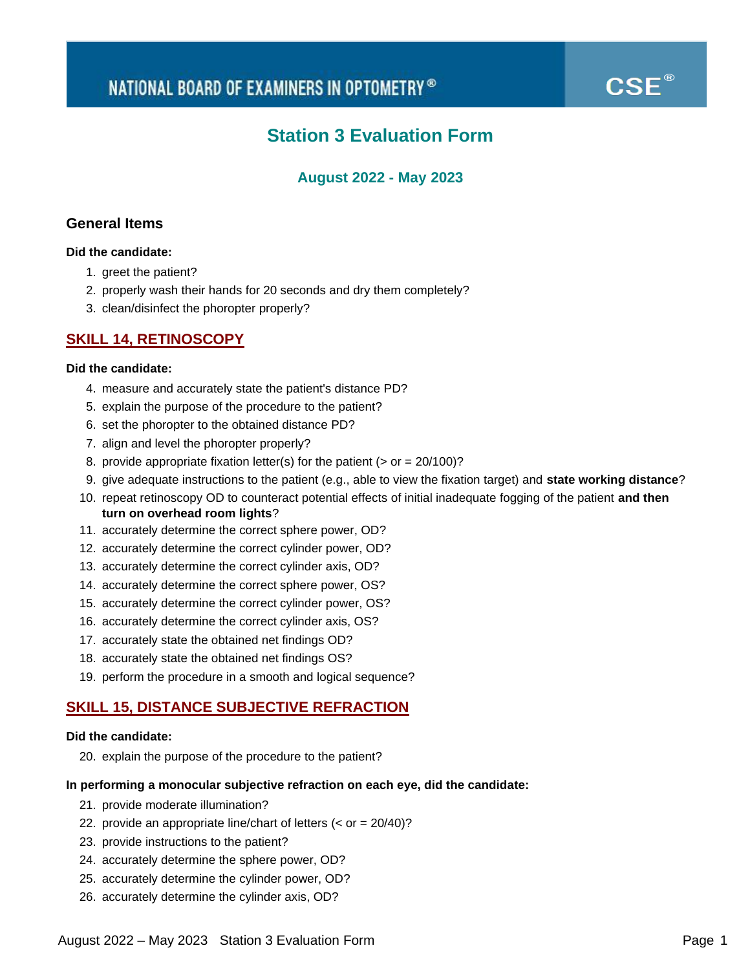# **®**

## **Station 3 Evaluation Form**

### **August 2022 - May 2023**

### **General Items**

### **Did the candidate:**

- 1. greet the patient?
- 2. properly wash their hands for 20 seconds and dry them completely?
- 3. clean/disinfect the phoropter properly?

### **SKILL 14, RETINOSCOPY**

### **Did the candidate:**

- 4. measure and accurately state the patient's distance PD?
- 5. explain the purpose of the procedure to the patient?
- 6. set the phoropter to the obtained distance PD?
- 7. align and level the phoropter properly?
- 8. provide appropriate fixation letter(s) for the patient ( $>$  or = 20/100)?
- 9. give adequate instructions to the patient (e.g., able to view the fixation target) and **state working distance**?
- 10. repeat retinoscopy OD to counteract potential effects of initial inadequate fogging of the patient **and then turn on overhead room lights**?
- 11. accurately determine the correct sphere power, OD?
- 12. accurately determine the correct cylinder power, OD?
- 13. accurately determine the correct cylinder axis, OD?
- 14. accurately determine the correct sphere power, OS?
- 15. accurately determine the correct cylinder power, OS?
- 16. accurately determine the correct cylinder axis, OS?
- 17. accurately state the obtained net findings OD?
- 18. accurately state the obtained net findings OS?
- 19. perform the procedure in a smooth and logical sequence?

### **SKILL 15, DISTANCE SUBJECTIVE REFRACTION**

#### **Did the candidate:**

20. explain the purpose of the procedure to the patient?

#### **In performing a monocular subjective refraction on each eye, did the candidate:**

- 21. provide moderate illumination?
- 22. provide an appropriate line/chart of letters (< or = 20/40)?
- 23. provide instructions to the patient?
- 24. accurately determine the sphere power, OD?
- 25. accurately determine the cylinder power, OD?
- 26. accurately determine the cylinder axis, OD?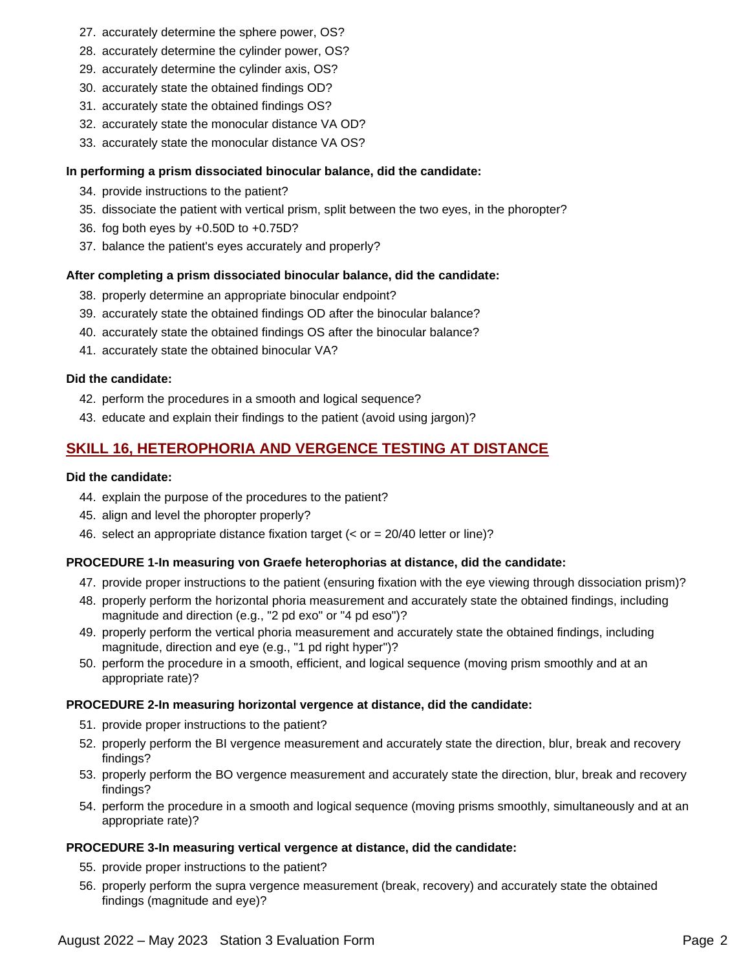- 27. accurately determine the sphere power, OS?
- 28. accurately determine the cylinder power, OS?
- 29. accurately determine the cylinder axis, OS?
- 30. accurately state the obtained findings OD?
- 31. accurately state the obtained findings OS?
- 32. accurately state the monocular distance VA OD?
- 33. accurately state the monocular distance VA OS?

### **In performing a prism dissociated binocular balance, did the candidate:**

- 34. provide instructions to the patient?
- 35. dissociate the patient with vertical prism, split between the two eyes, in the phoropter?
- 36. fog both eyes by +0.50D to +0.75D?
- 37. balance the patient's eyes accurately and properly?

### **After completing a prism dissociated binocular balance, did the candidate:**

- 38. properly determine an appropriate binocular endpoint?
- 39. accurately state the obtained findings OD after the binocular balance?
- 40. accurately state the obtained findings OS after the binocular balance?
- 41. accurately state the obtained binocular VA?

### **Did the candidate:**

- 42. perform the procedures in a smooth and logical sequence?
- 43. educate and explain their findings to the patient (avoid using jargon)?

### **SKILL 16, HETEROPHORIA AND VERGENCE TESTING AT DISTANCE**

### **Did the candidate:**

- 44. explain the purpose of the procedures to the patient?
- 45. align and level the phoropter properly?
- 46. select an appropriate distance fixation target (< or = 20/40 letter or line)?

### **PROCEDURE 1-In measuring von Graefe heterophorias at distance, did the candidate:**

- 47. provide proper instructions to the patient (ensuring fixation with the eye viewing through dissociation prism)?
- 48. properly perform the horizontal phoria measurement and accurately state the obtained findings, including magnitude and direction (e.g., "2 pd exo" or "4 pd eso")?
- 49. properly perform the vertical phoria measurement and accurately state the obtained findings, including magnitude, direction and eye (e.g., "1 pd right hyper")?
- 50. perform the procedure in a smooth, efficient, and logical sequence (moving prism smoothly and at an appropriate rate)?

### **PROCEDURE 2-In measuring horizontal vergence at distance, did the candidate:**

- 51. provide proper instructions to the patient?
- 52. properly perform the BI vergence measurement and accurately state the direction, blur, break and recovery findings?
- 53. properly perform the BO vergence measurement and accurately state the direction, blur, break and recovery findings?
- 54. perform the procedure in a smooth and logical sequence (moving prisms smoothly, simultaneously and at an appropriate rate)?

### **PROCEDURE 3-In measuring vertical vergence at distance, did the candidate:**

- 55. provide proper instructions to the patient?
- 56. properly perform the supra vergence measurement (break, recovery) and accurately state the obtained findings (magnitude and eye)?